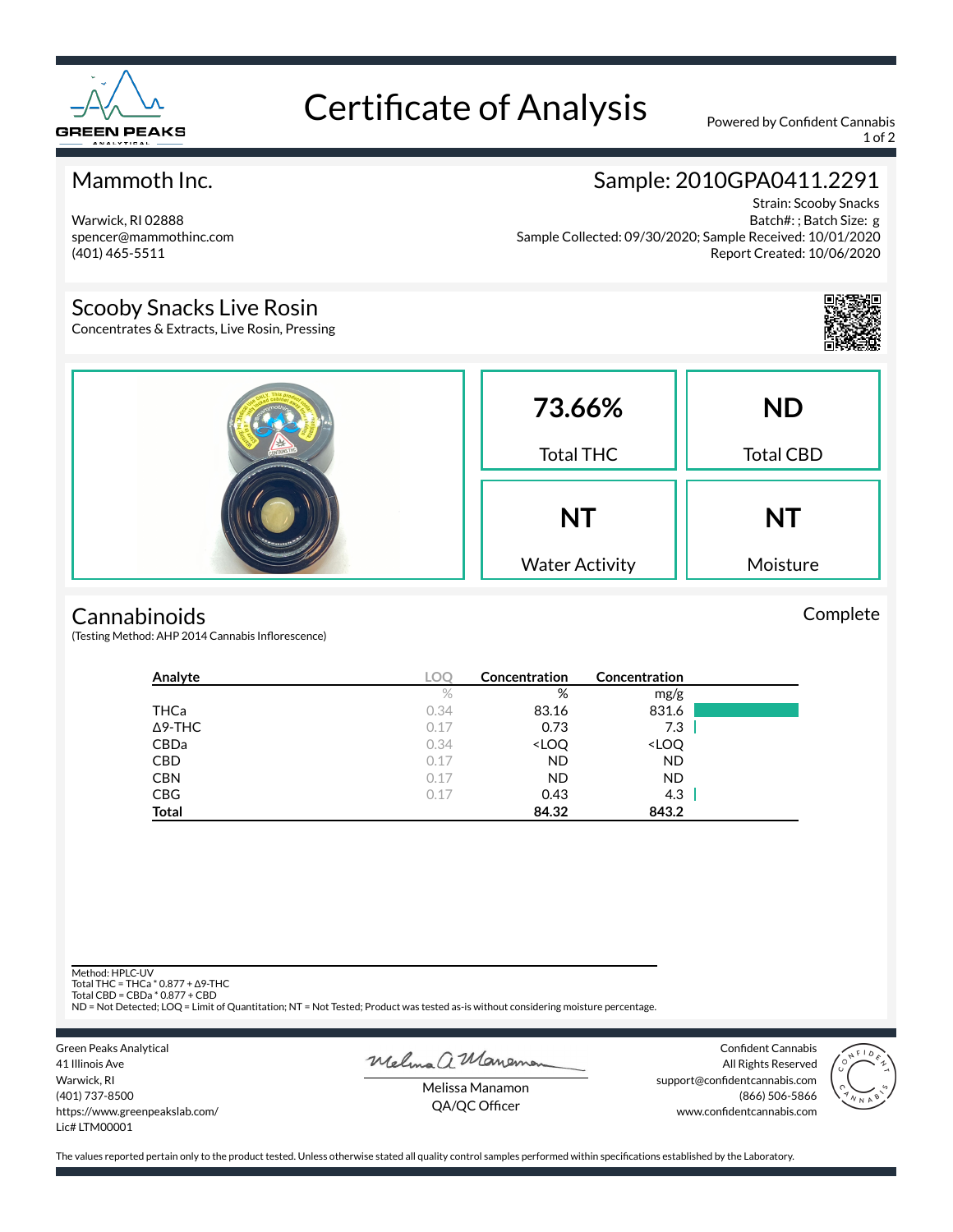

# Certificate of Analysis Powered by Confident Cannabis

1 of 2

## Mammoth Inc.

Warwick, RI 02888 spencer@mammothinc.com (401) 465-5511

## Sample: 2010GPA0411.2291

Strain: Scooby Snacks Batch#: ; Batch Size: g Sample Collected: 09/30/2020; Sample Received: 10/01/2020 Report Created: 10/06/2020

### Scooby Snacks Live Rosin

Concentrates & Extracts, Live Rosin, Pressing



Complete

|  | 73.66%<br><b>Total THC</b>         | <b>ND</b><br><b>Total CBD</b> |
|--|------------------------------------|-------------------------------|
|  | <b>NT</b><br><b>Water Activity</b> | <b>NT</b><br>Moisture         |

#### **Cannabinoids**

(Testing Method: AHP 2014 Cannabis Inflorescence)

| Analyte        |      | Concentration                                            | Concentration                |  |
|----------------|------|----------------------------------------------------------|------------------------------|--|
|                | $\%$ | %                                                        | mg/g                         |  |
| THCa           | 0.34 | 83.16                                                    | 831.6                        |  |
| $\Delta$ 9-THC | 0.17 | 0.73                                                     | 7.3                          |  |
| CBDa           | 0.34 | <loq< th=""><th><loq< th=""><th></th></loq<></th></loq<> | <loq< th=""><th></th></loq<> |  |
| <b>CBD</b>     | 0.17 | <b>ND</b>                                                | ND                           |  |
| <b>CBN</b>     | 0.17 | ND.                                                      | <b>ND</b>                    |  |
| <b>CBG</b>     | 0.17 | 0.43                                                     | 4.3                          |  |
| <b>Total</b>   |      | 84.32                                                    | 843.2                        |  |

Method: HPLC-UV

Total THC = THCa \* 0.877 + ∆9-THC Total CBD = CBDa \* 0.877 + CBD

ND = Not Detected; LOQ = Limit of Quantitation; NT = Not Tested; Product was tested as-is without considering moisture percentage.

Green Peaks Analytical 41 Illinois Ave Warwick, RI (401) 737-8500 https://www.greenpeakslab.com/ Lic# LTM00001

Melma a Maneman

Confident Cannabis All Rights Reserved support@confidentcannabis.com (866) 506-5866 www.confidentcannabis.com



Melissa Manamon QA/QC Officer

The values reported pertain only to the product tested. Unless otherwise stated all quality control samples performed within specifications established by the Laboratory.